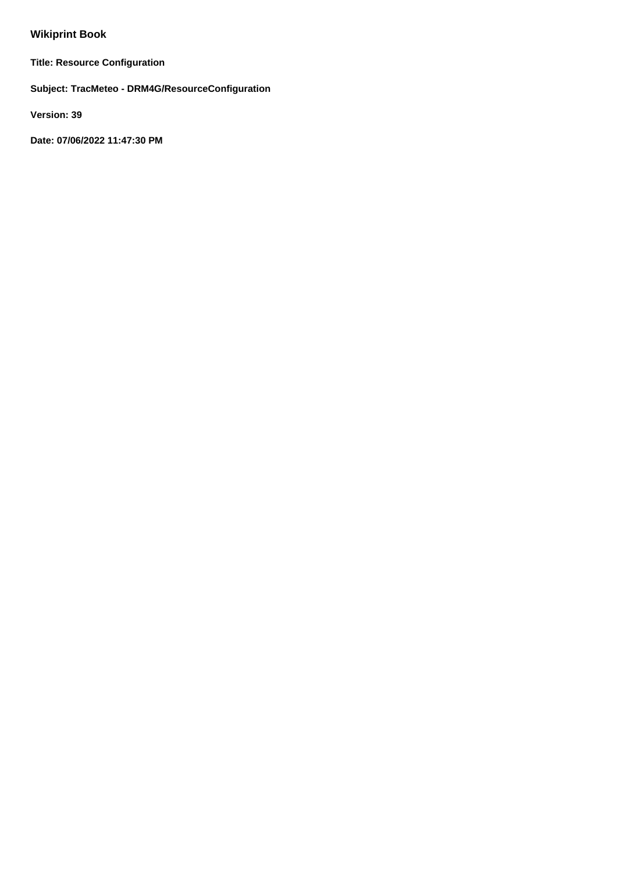# **Wikiprint Book**

**Title: Resource Configuration**

**Subject: TracMeteo - DRM4G/ResourceConfiguration**

**Version: 39**

**Date: 07/06/2022 11:47:30 PM**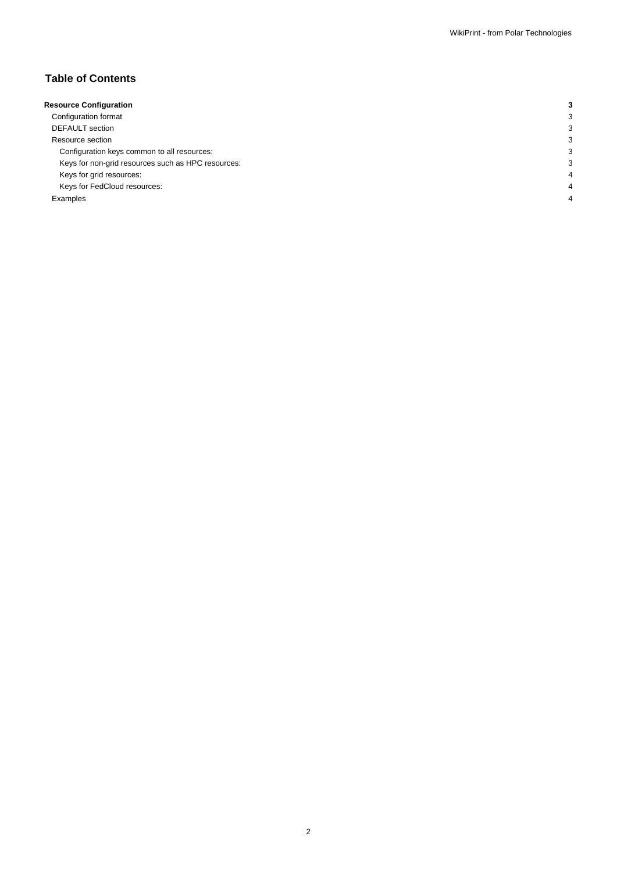# **Table of Contents**

| <b>Resource Configuration</b>                      |   |
|----------------------------------------------------|---|
| Configuration format                               |   |
| <b>DEFAULT</b> section                             |   |
| Resource section                                   |   |
| Configuration keys common to all resources:        | з |
| Keys for non-grid resources such as HPC resources: | З |
| Keys for grid resources:                           |   |
| Keys for FedCloud resources:                       |   |
| Examples                                           |   |
|                                                    |   |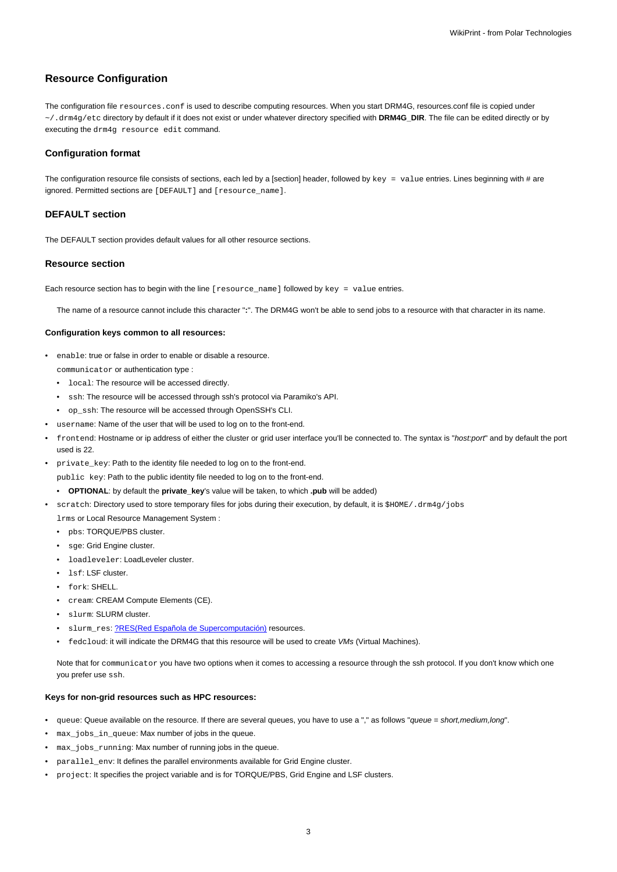## **Resource Configuration**

The configuration file resources.conf is used to describe computing resources. When you start DRM4G, resources.conf file is copied under ~/.drm4g/etc directory by default if it does not exist or under whatever directory specified with **DRM4G\_DIR**. The file can be edited directly or by executing the drm4g resource edit command.

## **Configuration format**

The configuration resource file consists of sections, each led by a [section] header, followed by  $key = value$  entries. Lines beginning with # are ignored. Permitted sections are [DEFAULT] and [resource\_name].

## **DEFAULT section**

The DEFAULT section provides default values for all other resource sections.

#### **Resource section**

Each resource section has to begin with the line [resource\_name] followed by key = value entries.

The name of a resource cannot include this character "**:**". The DRM4G won't be able to send jobs to a resource with that character in its name.

### **Configuration keys common to all resources:**

- enable: true or false in order to enable or disable a resource. communicator or authentication type :
	- local: The resource will be accessed directly.
	- ssh: The resource will be accessed through ssh's protocol via Paramiko's API.
	- op\_ssh: The resource will be accessed through OpenSSH's CLI.
- username: Name of the user that will be used to log on to the front-end.
- frontend: Hostname or ip address of either the cluster or grid user interface you'll be connected to. The syntax is "host:port" and by default the port used is 22.
- private\_key: Path to the identity file needed to log on to the front-end.

public key: Path to the public identity file needed to log on to the front-end.

- **OPTIONAL**: by default the **private\_key**'s value will be taken, to which **.pub** will be added)
- scratch: Directory used to store temporary files for jobs during their execution, by default, it is \$HOME/.drm4g/jobs
	- lrms or Local Resource Management System :
	- pbs: TORQUE/PBS cluster.
	- sge: Grid Engine cluster.
	- loadleveler: LoadLeveler cluster.
	- lsf: LSF cluster.
	- fork: SHELL.
	- cream: CREAM Compute Elements (CE).
	- slurm: SLURM cluster.
	- slurm\_res: [?RES\(Red Española de Supercomputación\)](http://www.bsc.es/marenostrum-support-services/res) resources.
	- fedcloud: it will indicate the DRM4G that this resource will be used to create VMs (Virtual Machines).

Note that for communicator you have two options when it comes to accessing a resource through the ssh protocol. If you don't know which one you prefer use ssh.

## **Keys for non-grid resources such as HPC resources:**

- queue: Queue available on the resource. If there are several queues, you have to use a "," as follows "queue = short, medium, long".
- max\_jobs\_in\_queue: Max number of jobs in the queue.
- max\_jobs\_running: Max number of running jobs in the queue.
- parallel\_env: It defines the parallel environments available for Grid Engine cluster.
- project: It specifies the project variable and is for TORQUE/PBS, Grid Engine and LSF clusters.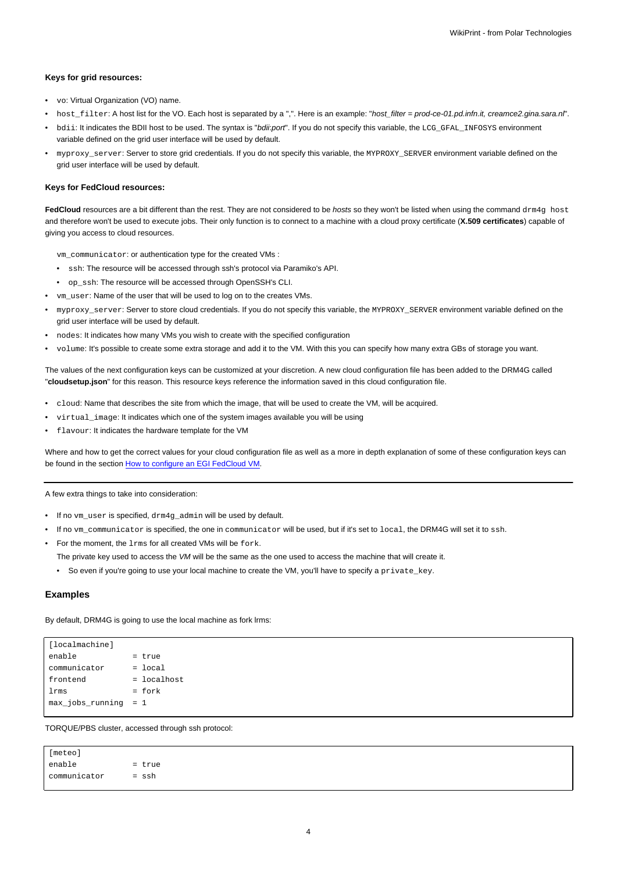#### **Keys for grid resources:**

- vo: Virtual Organization (VO) name.
- host filter: A host list for the VO. Each host is separated by a ",". Here is an example: "host filter = prod-ce-01.pd.infn.it, creamce2.gina.sara.nl".
- bdii: It indicates the BDII host to be used. The syntax is "bdii:port". If you do not specify this variable, the LCG\_GFAL\_INFOSYS environment variable defined on the grid user interface will be used by default.
- myproxy\_server: Server to store grid credentials. If you do not specify this variable, the MYPROXY\_SERVER environment variable defined on the grid user interface will be used by default.

#### **Keys for FedCloud resources:**

FedCloud resources are a bit different than the rest. They are not considered to be *hosts* so they won't be listed when using the command drm4g host and therefore won't be used to execute jobs. Their only function is to connect to a machine with a cloud proxy certificate (**X.509 certificates**) capable of giving you access to cloud resources.

vm\_communicator: or authentication type for the created VMs :

- ssh: The resource will be accessed through ssh's protocol via Paramiko's API.
- op\_ssh: The resource will be accessed through OpenSSH's CLI.
- vm\_user: Name of the user that will be used to log on to the creates VMs.
- myproxy\_server: Server to store cloud credentials. If you do not specify this variable, the MYPROXY\_SERVER environment variable defined on the grid user interface will be used by default.
- nodes: It indicates how many VMs you wish to create with the specified configuration
- volume: It's possible to create some extra storage and add it to the VM. With this you can specify how many extra GBs of storage you want.

The values of the next configuration keys can be customized at your discretion. A new cloud configuration file has been added to the DRM4G called "**cloudsetup.json**" for this reason. This resource keys reference the information saved in this cloud configuration file.

- cloud: Name that describes the site from which the image, that will be used to create the VM, will be acquired.
- virtual\_image: It indicates which one of the system images available you will be using
- flavour: It indicates the hardware template for the VM

Where and how to get the correct values for your cloud configuration file as well as a more in depth explanation of some of these configuration keys can be found in the section [How to configure an EGI FedCloud VM.](https://meteo.unican.es/trac/wiki/DRM4G/ResourceConfiguration/EGIFedCloud)

A few extra things to take into consideration:

- If no vm\_user is specified, drm4g\_admin will be used by default.
- If no ym communicator is specified, the one in communicator will be used, but if it's set to local, the DRM4G will set it to ssh.
- For the moment, the lrms for all created VMs will be fork. The private key used to access the VM will be the same as the one used to access the machine that will create it.
	-

# • So even if you're going to use your local machine to create the VM, you'll have to specify a private\_key.

### **Examples**

By default, DRM4G is going to use the local machine as fork lrms:

| [[localmachine]        |               |
|------------------------|---------------|
| enable                 | = true        |
| communicator           | $=$ local     |
| frontend               | $=$ localhost |
| lrms                   | $=$ fork      |
| $max_jobs_running = 1$ |               |
|                        |               |

TORQUE/PBS cluster, accessed through ssh protocol:

[meteo]  $enable$  = true communicator = ssh